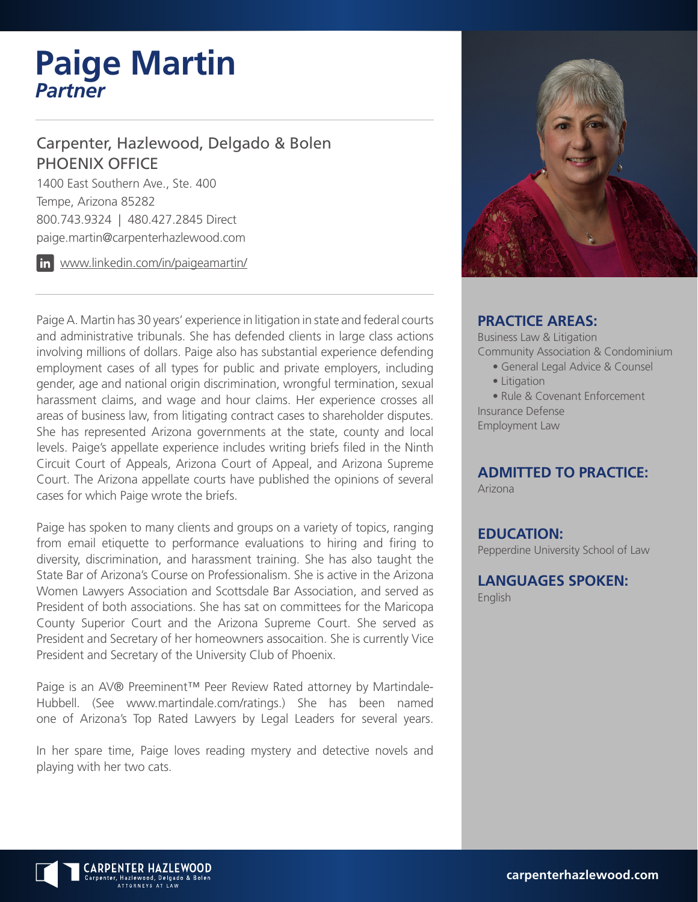# **Paige Martin** *Partner*

# Carpenter, Hazlewood, Delgado & Bolen PHOENIX OFFICE

1400 East Southern Ave., Ste. 400 Tempe, Arizona 85282 800.743.9324 | 480.427.2845 Direct paige.martin@carpenterhazlewood.com

www.linkedin.com/in/paigeamartin/

Paige A. Martin has 30 years' experience in litigation in state and federal courts and administrative tribunals. She has defended clients in large class actions involving millions of dollars. Paige also has substantial experience defending employment cases of all types for public and private employers, including gender, age and national origin discrimination, wrongful termination, sexual harassment claims, and wage and hour claims. Her experience crosses all areas of business law, from litigating contract cases to shareholder disputes. She has represented Arizona governments at the state, county and local levels. Paige's appellate experience includes writing briefs filed in the Ninth Circuit Court of Appeals, Arizona Court of Appeal, and Arizona Supreme Court. The Arizona appellate courts have published the opinions of several cases for which Paige wrote the briefs.

Paige has spoken to many clients and groups on a variety of topics, ranging from email etiquette to performance evaluations to hiring and firing to diversity, discrimination, and harassment training. She has also taught the State Bar of Arizona's Course on Professionalism. She is active in the Arizona Women Lawyers Association and Scottsdale Bar Association, and served as President of both associations. She has sat on committees for the Maricopa County Superior Court and the Arizona Supreme Court. She served as President and Secretary of her homeowners assocaition. She is currently Vice President and Secretary of the University Club of Phoenix.

Paige is an AV® Preeminent™ Peer Review Rated attorney by Martindale-Hubbell. (See www.martindale.com/ratings.) She has been named one of Arizona's Top Rated Lawyers by Legal Leaders for several years.

In her spare time, Paige loves reading mystery and detective novels and playing with her two cats.



#### **PRACTICE AREAS:**

Business Law & Litigation Community Association & Condominium

- General Legal Advice & Counsel
- Litigation

• Rule & Covenant Enforcement Insurance Defense Employment Law

# **ADMITTED TO PRACTICE:**

Arizona

**EDUCATION:**

Pepperdine University School of Law

**LANGUAGES SPOKEN:**

English